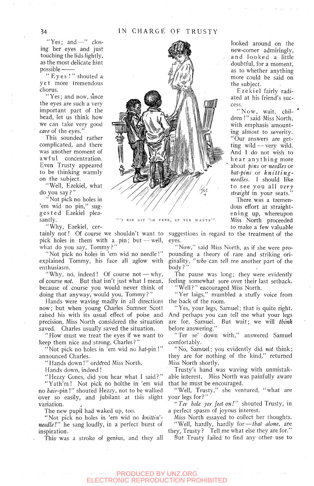"Yes; and—" closing her eyes and just touching the lids lightly, as the most delicate hint possible-

" Eyes !" shouted a y e t more tremendous chorus.

"Yes; and now, since the eyes are such a very important part of the head, let us think how we can take very good *care* of the eyes."

This sounded rather complicated, and there was another moment of awful concentration. Even Trusty appeared to be thinking warmly on the subject.

"Well, Ezekiel, what do you say?"

"Not pick no holes in 'em wid no pin," suggeste d Ezekiel pleasantly.

"Why, Ezekiel, cer-

pick holes in them with a pin; but — well, what do you say, Tommy?"

"Not pick no holes in 'em wid no needle!" explained Tommy, his face all aglow with enthusiasm.

"Why, no, indeed! Of course not - why, of course *not.* But that isn't just what 1 mean, because of course you would never think of doing that anyway, would you. Tommy?"

Hands were waving madly in all directions now; but when young Charles Sumner Scott raised his with its usual effect of poise and precision. Miss North considered the situation saved. Charles usually saved the situation.

"How must we treat the eyes if we want to keep them nice and strong, Charles?"

"Not pick no holes in 'em wid no *hat*-pin!" announced Charles.

"Hands down !" ordered Miss North.

Hands down, indeed!

"Hezzy Cones, did you hear what I said?" "Yath'm! Not pick no holthe in 'em wid no *hair-pin*!" shouted Hezzy, not to be walked over so easily, and jubilant at this slight variation.

The new pupil had waked up, too.

"Not pick no holes in 'em wid no *knittinneedle!"* he sang loudly, in a perfect burst of inspiration.

This was a stroke of genius, and they all



IM YERE, EF YER WANTS

tainly not! Of course we shouldn't want to suggestions in regard to the treatment of the eyes.

> "Now," said Miss North, as if she were propounding a theory of rare and striking originality, *"who* can tell me another part of the body?"

> The pause was long; they were evidently feeling somewhat sore over their last setback. "Well?" encouraged Miss North.

> "Yer laigs," mumbled a stuffy voice from the back of the room.

> "Yes, your legs, Samuel; that is quite right. And perhaps you can tell me what your legs are for, Samuel. But wait; we will *think*  before answering."

> "Ter se' down with," answered Samuel comfortably.

> "No, Samuel; you evidently did *not* think; they are for nothing of the kind," returned Miss North shortly.

> Trusty's hand was waving with unmistakable interest. Miss North was painfully aware that he must be encouraged.

> "Well, Trusty," she ventured, "what are your legs for?"

> *"Ter hole yer feet on!"* shouted Trusty, in a perfect spasm of joyous interest.

Miss North essayed to collect her thoughts. "Well, hardly, hardly for — *that alone,* are

they. Trusty ? Tell me what else they are for." But Trusty failed to find any other use to

PRODUCED BY UNZ.ORG ELECTRONIC REPRODUCTION PROHIBITED

new-comer admiringly, and looked a little doubtful, for a moment, as to whether anything more could be said on the subject. Ezekiel fairly radi-

ated at his friend's success.

looked around on the

"Now, wait, children !" said Miss North, with emphasis amounting almost to severity. "Our answers are getting wild — very wild. And I do not wish to hear anything more about *fins* or *needles* or *hat-pins* or *knittingneedles.* 1 should like to see you all *very straight* in your seats."

There was a tremendous effort at straightening up, whereupon Miss North proceeded to make a few valuable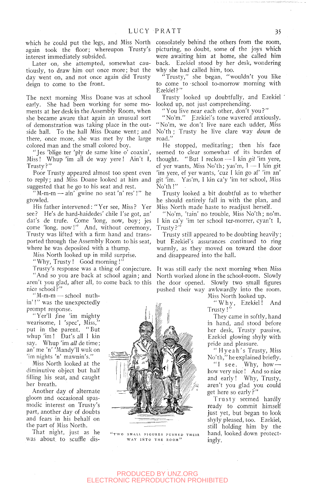which he could put the legs, and Miss North again took the floor; whereupon Trusty's interest immediately subsided.

Later on, she attempted, somewhat cautiously, to draw him out once more; but the day went on, and not once again did Trusty deign to come to the front.

The next morning Miss Doane was at school early. She had been working for some moments at her desk in the Assembly Room, when she became aware that again an unusual sort of demonstration was taking place in the outside hall. To the hall Miss Doane went; and there, once more, she was met by the large colored man and the small colored boy.

"Jes 'blige ter 'ply de same kine o' coaxin'. Miss! Whup 'im all de way yere! Ain't I, Trusty?"

Poor Trusty appeared almost too spent even to reply; and Miss Doane looked at him and suggested that he go to his seat and rest.

"M-m-m — ain' gwine no seat 'n' res'!" he growled.

His father intervened: "Yer see. Miss? Yer see? He's de hard-haidedes' chile I'se got, an' dat's de trufe. Come 'long, now, boy; jes come 'long, now!" And, without ceremony, Trusty was lifted with a firm hand and transported through the Assembly Room to his seat, where he was deposited with a thump.

Miss North looked up in mild surprise.

"Why, Trusty! Good morning!"

Trusty's response was a thing of conjecture. "And so you are back at school again; and aren't you glad, after all, to come back to this nice school?"

"M-m-m — school nuthin'!" was the unexpectedly prompt response.

"Yer'll fine 'im mighty wearisome, I 'spec', Miss,' put in the parent. "But whup 'im ! Dat's all 1 kin say. Whup 'im *all* de time; an' me 'n' 'Mandy'll wuk on 'im nights 'n' mawnin's."

Miss North looked at the diminutive object but half filling his seat, and caught her breath.

Another day of alternate gloom and occasional spasmodic interest on Trusty's part, another day of doubts and fears in his behalf on the part of Miss North.

That night, just as he was about to scuffle disconsolately behind the others from the room, picturing, no doubt, some of the joys which were awaiting him at home, she called him back. Ezekiel stood by her desk, wondering why she had called him, too.

"Trusty," she began, "wouldn't you like to come to school to-morrow morning with Ezekiel ?"

Trusty looked up doubtfully, and Ezekiel looked up, not just comprehending.

"You live near each other, don't you?"

"No'm." Ezekiel's tone wavered anxiously. "No'm, we don't live nare each udder. Miss No'th ; Trusty he live clare way *down* de road."

He stopped, meditating; then his face seemed to clear somewhat of its burden of thought. " But 1 reckon — I kin *git* 'im yere, ef yer wants, Miss No'th; yas'm,  $I - I$  kin git 'im yere, ef yer wants, 'cuz I kin go af 'im an' git 'im. Yas'm, I kin ca'y 'im ter school, Miss  $No'th$ !"

Trusty looked a bit doubtful as to whether he should entirely fall in with the plan, and Miss North made haste to readjust herself.

"No'm, 'tain' no trouble. Miss No'th; no'm. 1 kin ca'y 'im ter school ter-morrer, cyan't I, Trusty?"

Trusty still appeared to be doubting heavily; but Ezekiel's assurances continued to ring warmly, as they moved on toward the door and disappeared into the hall.

It was still early the next morning when Miss North worked alone in the school-room. Slowly the door opened. Slowly two small figures pushed their way awkwardly into the room.

Miss North looked up.

"Why, Ezekiel! And Trusty !"

They came in softly, hand in hand, and stood before her desk. Trusty passive, Ezekiel glowing shyly with pride and pleasure.

" Hyeah's Trusty, Miss No'th," he explained briefly.

"I see. Why, howhow very nice ! And so nice and early ! Why, Trusty, aren't you glad you could get here so early?"

Trusty seemed hardly ready to commit himself just yet, but began to look shyly pleased, too. Ezekiel, still holding him by the hand, looked down protectingly.

"TWO SMALL FIGURES PUSHED THEIR WAY INTO THE ROOM"

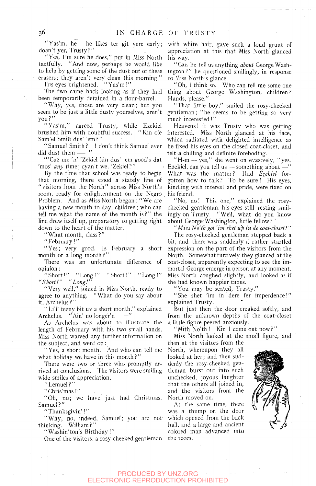"Yas'm, he - he likes ter git yere early; doan't yer. Trusty?"

"Yes, I'm sure he does," put in Miss North tactfully. "And now, perhaps he would like to help by getting some of the dust out of these erasers; they aren't very clean this morning."

His eyes brightened. "Yas'm!"

The two came back looking as if they had been temporarily detained in a flour-barrel.

"Why, yes, those are very clean; but you seem to be just a little dusty yourselves, aren't you?"

"Yas'm," agreed Trusty, while Ezekiel brushed him with doubtful success. " Kin ole Sam'el Smiff dus' 'em?"

"Samuel Smith? I don't think Samuel ever did dust them ——"

"'Cuz me 'n' 'Zekiel kin dus' 'em good's dat 'mos' *any* time; cyan't we, 'Zekiel?"

By the time that school was ready to begin that morning, there stood a stately line of "visitors from the North" across Miss North's room, ready for enlightenment on the Negro Problem. And as Miss North began: "We are having a new month to-day, children; who can tell me what the name of the month is?" the line drew itself up, preparatory to getting right down to the heart of the matter.

"What month, class?"

"February!"

"Yes; very good. Is February a short month or a long month?"

There was an unfortunate difference of opinion:

"Short!" "Long!" "Short!" "Long!" *"Short I" "Long!"* 

"Very well," joined in Miss North, ready to agree to anything. "What do you say about it, Archelus ? "

"Li'l' teeny bit uv a short month," explained<br>
"Ain' no longer'n —-" Archelus. "Ain' no longer'n  $-$ 

As Archelus was about to illustrate the length of February with his two small hands. Miss North waived any further information on the subject, and went on:

"Yes, a short month. And who can tell me what holiday we have in this month?"

There were two or three who promptly arrived at conclusions. The visitors were smiling wide smiles of appreciation.

"Lemuel?"

"Chris'mas!"

"Oh, no; we have just had Christmas. Samuel?"

"Thanksgivin'!"

"Why, no, indeed, Samuel; you are not' thinking. William?"

"Washin'ton's Birthday!"

One of the visitors, a rosy-cheeked gentleman

with white hair, gave such a loud grunt of appreciation at this that Miss North glanced his way.

"Can he tell us anything *about* George Washington?" he questioned smilingly, in response to Miss North's glance.

"Oh, 1 think so. Who can tell me some one thing about George Washington, children? Hands, please."

"That little boy," smiled the rosy-cheeked gentleman; "he seems to be getting so very much interested !"

Heavens! it was Trusty who was getting interested. Miss North glanced at his face, which radiated with delighted intelligence as he fixed his eyes on the closed coat-closet, and felt a chilling and definite foreboding.

"H-m - yes," she went on evasively, "yes. Ezekiel, can you tell us  $-$  something about  $-$ " What was the matter? Had *Ezekiel* forgotten how to talk? To be sure! His eyes, kindling with interest and pride, were fixed on his friend.

"No, no! This one," explained the rosycheeked gentleman, his eyes still resting smilingly on Trusty. "Well, what do you know about George Washington, little fellow?"

*"Miss No'th got 'im shet up in de coat-closet!"* 

The rosy-cheeked gentleman stepped back a bit, and there was suddenly a rather startled expression on the part of the visitors from the North. Somewhat furtively they glanced at the coat-closet, apparently expecting to see the immortal George emerge in person at any moment. Miss North coughed slightly, and looked as if she had known happier times.

"You may be seated. Trusty."

"She shet 'im in dere fer imperdence!" explained Trusty.

But just then the door creaked softly, and from the unknown depths of the coat-closet a little figure peered anxiously.

"Mith No'th! Kin I come out now?"

Miss North looked at the small figure, and then at the visitors from the

North, whereupon they all looked at her; and then suddenly the rosy-cheeked gentleman burst out into such unchecked, joyous laughter that the others all joined in, and the visitors from the North moved on.

At the same time, there was a thump on the door which opened from the back hall, and a large and ancient colored man advanced into the room.

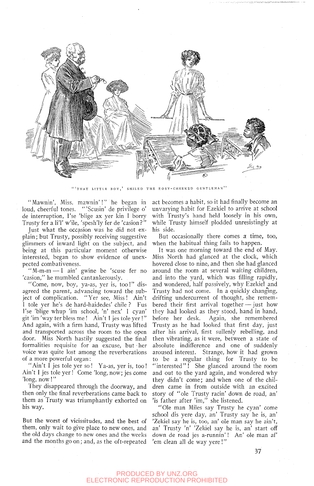

""THAT LITTLE BOY,' SMILED THE ROSY-CHEEKED GENTLEMAN"

"Mawnin', Miss, mawnin'!" he began in loud, cheerful tones. "'Scusin' de privilege o' de interruption, l'se 'blige ax yer kin I borry Trusty fer a li'l' w'ile, 'spesh'ly fer de 'casion?"

Just what the occasion was he did not explain ; but Trusty, possibly receiving suggestive glimmers of inward light on the subject, and being at this particular moment otherwise interested, began to show evidence of unexpected combativeness.

"M-m-m — I ain' gwine be 'scuse fer no 'casion," he mumbled cantankerously.

"Come, now, boy, ya-as, yer is, too!" disagreed the parent, advancing toward the subject of complication. "Yer see, Miss! Ain't I tole yer he's de hard-haidedes' chile ? Fus I'se 'blige whup 'im school, 'n' nex' I cyan' git 'im 'way ter bless me ! Ain't I jes tole yer !" And again, with a firm hand. Trusty was lifted and transported across the room to the open door. Miss North hastily suggested the final formalities requisite for an excuse, but her voice was quite lost among the reverberations of a more powerful organ:

"Ain't I jes tole yer so ! Ya-as, yer is, too ! Ain't I jes tole yer! Come 'long, now; jes come 'long, now!"

They disappeared through the doorway, and then only the final reverberations came back to them as Trusty was triumphantly exhorted on his way.

But the worst of vicissitudes, and the best of them, only wait to give place to new ones, and the old days change to new ones and the weeks and the months go on; and, as the oft-repeated

act becomes a habit, so it had finally become an unvarying habit for Ezekiel to arrive at school with Trusty's hand held loosely in his own, while Trusty himself plodded unresistingly at his side.

But occasionally there comes a time, too, when the habitual thing fails to happen.

It was one morning toward the end of May. Miss North had glanced at the clock, which hovered close to nine, and then she had glanced around the room at several waiting children, and into the yard, which was filling rapidly, and wondered, half passively, why Ezekiel and Trusty had not come. In a quickly changing, drifting undercurrent of thought, she remembered their first arrival together — just how they had looked as they stood, hand in hand, before her desk. Again, she remembered Trusty as he had looked that first day, just after his arrival, first sullenly rebelling, and then vibrating, as it were, between a state of absolute indifference and one of suddenly aroused interest. Strange, how it had grown to be a regular thing for Trusty to be "interested"! She glanced around the room and out to the yard again, and wondered why they didn't come; and when one of the children came in from outside with an excited story of "ole Trusty racin' down de road, an' 'is father after 'im," she listened.

"Ole man Miles say Trusty he cyan' come school dis yere day, an' Trusty say he is, an' 'Zekiel say he is, too, an' ole man say he ain't, an' Trusty 'n' 'Zekiel say he is, an' start off down de road jes a-runnin'! An' ole man af 'em clean all de way yere!"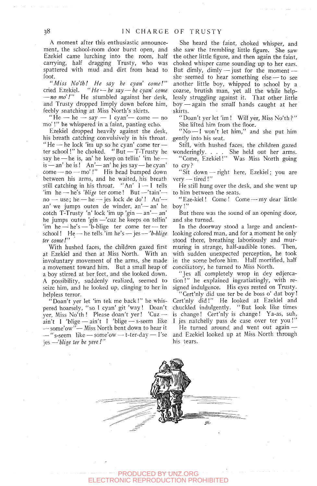A moment after this enthusiastic announcement, the school-room door burst open, and Ezekiel came lurching into the room, half carrying, half dragging Trusty, who was spattered with mud and dirt from head to foot.

*"Miss No'ih! He say he cyan' come!"*  cried Ezekiel. *"He^—'he say*—*he cyan come*  —*no mo'V* He stumbled against her desk, and Trusty dropped limply down before him, feebly snatching at Miss North's skirts.

"He — he — say — I cyan'— come — no mo'!" he whispered in a faint, panting echo.

Ezekiel dropped heavily against the desk, his breath catching convulsively in his throat. "He — he lock 'im up so he cyan' come ter ter school!" he choked. " But — T-Trusty he say he — he is, an' he keep on tellin' 'im he is — an' he is ! An'— an' he jes say — he cyan'  $come - no - mo'$ !" His head bumped down between his arms, and he waited, his breath still catching in his throat. "An'  $I - I$  tells 'im he — he's *'hlige* ter come ! But —'tain'  $no$  — use; he — he — jes lock de do'! An' an' we jumps outen de winder, an'— an' he cotch T-Trusty 'n' lock 'im up 'gin — an'— an' he jumps outen 'gin —'cuz he keeps on tellin'  $\lim_{h \to \infty}$  he's —  $\lim_{h \to 0}$ -blige ter come ter — ter school! He — he tells 'im he's — jes — *'h-blige ter come!"* 

With hushed faces, the children gazed first at Ezekiel and then at Miss North. With an involuntary movement of the arms, she made a movement toward him. But a small heap of a boy stirred at her feet, and she looked down. A possibility, suddenly realized, seemed to seize him, and he looked up, clinging to her in helpless terror.

"Doan't yer let 'im tek me back!" he whispered hoarsely, "so 1 cyan' git 'way! Doan't yer. Miss No'th ! Please doan't yer ! 'Cuz ain't I 'blige — ain't 1 'blige — s-seem like — some'ow"— Miss North bent down to hear it  $-$  "s-seem like — some'ow — t-ter-day — I'se jes —*'hlige ter he yere !"* 

She heard the faint, choked whisper, and she saw the trembling little figure. She saw the other little figure, and then again the faint, choked whisper came sounding up to her ears. But dimly, dimly — just for the moment she seemed to hear something else — to see another little boy, whipped to school by a coarse, brutish man, yet all the while helplessly struggling against it. That other little boy — again the small hands caught at her skirts.

" Doan't yer let 'im ! Will yer. Miss No'th ? " She lifted him from the floor.

"No—I won't let him," and she put him gently into his seat.

Still, with hushed faces, the children gazed wonderingly. . . . She held out her arms.

"Come, Ezekiel!" Was Miss North going to cry?

"Sit down — right here, Ezekiel; you are very — tired!"

He still hung over the desk, and she went up to him between the seats.

"Eze-kiel! Come! Come — my dear little boy!"

But there was the sound of an opening door, and she turned.

In the doorway stood a large and ancientlooking colored man, and for a moment he only stood there, breathing laboriously and murmuring in strange, half-audible tones. Then, with sudden unexpected perception, he took in the scene before him. Half mortified, half conciliatory, he turned to Miss North.

"Jes all completely wrop in dey edjercation!" he explained ingratiatingly, with resigned indulgence. His eyes rested on Trusty.

"Cert'nly did use ter be de boss o' dat boy! Cert'nly did!" He looked at Ezekiel and chuckled indulgently. "But look like times is change! Cert'nly is change! Ya-as, suh, I jes natchelly pass de case over ter you!"

He turned around, and went out again and Ezekiel looked up at Miss North through his tears.

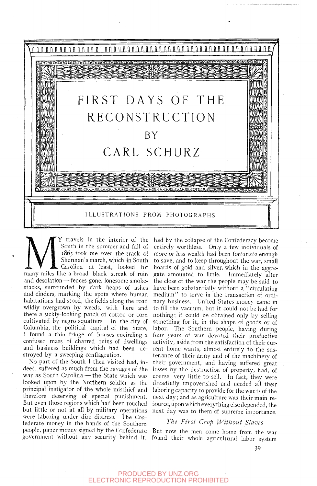

Many miles in the intentor of the<br>South in the summer and fall of<br>1865 took me over the track of<br>Sherman's march, which, in South<br>Carolina at least, looked for<br>many miles like a broad black streak of ruin Y travels in the interior of the South in the summer and fall of 1865 took me over the track of Sherman's march, which, in South Carolina at least, looked for and desolation — fences gone, lonesome smokestacks, surrounded by dark heaps of ashes and cinders, marking the spots where human habitations had stood, the fields along the road wildly overgrown by weeds, with here and there a sickly-looking patch of cotton or corn cultivated by negro squatters. In the city of Columbia, the political capital of the State, ! found a thin fringe of houses encircling a confused mass of charred ruins of dwellings and business buildings which had been destroyed by a sweeping conflagration.

No part of the South I then visited had, indeed, suffered as much from the ravages of the war as South Carolina — the State which was looked upon by the Northern soldier as the principal instigator of the whole mischief and therefore deserving of special punishment. But even those regions which had been touched but little or not at all by military operations were laboring under dire distress. The Confederate money in the hands of the Southern people, paper money signed by the Confederate

had by the collapse of the Confederacy become entirely worthless. Only a few individuals of more or less wealth had been fortunate enough to save, and to keep throughout the war, small hoards of gold and silver, which in the aggregate amounted to little. Immediately after the close of the war the people may be said to have been substantially without a "circulating medium" to serve in the transaction of ordinary business. United States money came in to fill the vacuum, but it could not be had for nothing; it could be obtained only by selling something for it, in the shape of goods or of labor. The Southern people, having during four years of war devoted their productive activity, aside from the satisfaction of their current home wants, almost entirely to the sustenance of their army and of the machinery of their government, and having suffered great losses by the destruction of property, had, of course, very little to sell. In fact, they were dreadfully impoverished and needed all their laboring capacity to provide for the wants of the next day; and as agriculture was their main resource, upon which everything else depended, the next day was to them of supreme importance.

### *The First Crop Without Slaves*

government without any security behind it. found their whole agricultural labor system But now the men come home from the war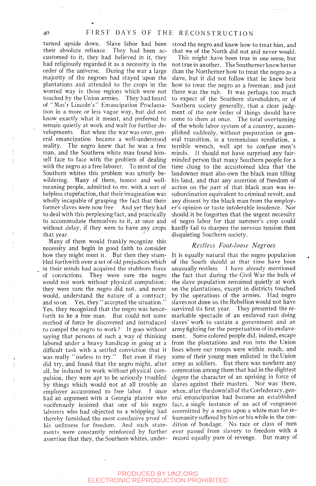turned upside down. Slave labor had been their absolute reliance. They had been accustomed to it, they had believed in it, they had religiously regarded it as a necessity in the order of the universe. During the war a large majority of the negroes had stayed upon the plantations and attended to the crops in the wonted way in those regions which were not touched by the Union armies. They had heard of "Mas'r Lincoln's" Emancipation Proclamation in a more or less vague way, but did not know exactly what it meant, and preferred to remain quietly at work and wait for further developments. But when the war was over, general emancipation became a well-understood reality. The negro knew that he was a free man, and the Southern white man found himself face to face with the problem of dealing with the negro as a free laborer. To most of the Southern whites this problem was utterly bewildering. Many of them, honest and wellmeaning people, admitted to me, with a sort of helpless stupefaction, that their imagination was neipress stuperaction, that their imagination was wholey incapable of grasping the fact that their to deal with this perplexion fact, and yet they had to acat with this perprexing ract, and practically to accommodate themselves to it, at once and without delay, if they were to have any crops that year.

Many of them would frankly recognize this necessity and begin in good faith to consider how they might meet it. But then they stumbled forthwith over a set of old prejudices which in their minds had acquired the stubborn force of convictions. They were sure the negro would not work without physical compulsion; they were sure the negro did not, and never would, understand the nature of a contract; and so on. Yes, they " accepted the situation." Yes, they recognized that the negro was henceforth to be a free man. But could not some method of force be discovered and introduced to compel the negro to work? It goes without saying that persons of such a way of thinking labored under a heavy handicap in going at a difficult task with a settled conviction that it was really "useless to try." But even if they did try, and found that the negro might, after all, be induced to work without physical compulsion, they were apt to be seriously troubled by things which would not at all trouble an employer accustomed to free labor. I once had an argument with a Georgia planter who nau an argument with a Georgia planter who volutionsly insisted that one of me negro thereby who had objected to a whipping had history furnished the most conclusive proof of ms unities for reedom. And such statements were constantly remoted by ruring

stood the negro and knew how to treat him, and that we of the North did not and never would.

This might have been true in one sense, but not true in another. The Southerner knew better . than the Northerner how to treat the negro as a slave, but it did not follow that he knew best how to treat the negro as a freeman; and just there was the rub. It was perhaps too much to expect of the Southern slaveholders, or of Southern society generally, that a clear judgment of the new order of things should have come to them at once. The total overturning of the whole labor system of a country, accomplished suddenly, without preparation or general transition, is a tremendous revolution, a terrible wrench, well apt to confuse men's minds. It should not have surprised any fairminded person that many Southern people for a time clung to the accustomed idea that the landowner must also own the black man tilling his land, and that any assertion of freedom of action on the part of that black man was insubordination equivalent to criminal revolt, and any dissent by the black man from the employer's opinion or taste intolerable insolence. Nor should it be forgotten that the urgent necessity of negro labor for that summer's crop could hardly fail to sharpen the nervous tension then disquieting Southern society.

#### *Restless Foot-loose Negroes*

It is equally natural that the negro population of the South should at that time have been unusually restless. I have already mentioned the fact that during the Civil War the bulk of the slave population remained quietly at work on the plantations, except in districts touched by the operations of the armies. Had negro slaves not done so, the Rebellion would not have survived its first year. They presented the remarkable spectacle of an enslaved race doing slaves' work to sustain a government and an army fighting for the perpetuation of its enslavement. Some colored people did, indeed, escape from the plantations and run into the Union lines where our troops were within reach, and some of their young men enlisted in the Union army as soldiers. But there was nowhere any commotion among them that had in the slightest degree the character of an uprising in force of slaves against their masters. Nor was there, when, after the downfall of the Confederacy, general emancipation had become an established fact, a single instance of an act of vengeance committed by a negro upon a white man for inhumanity suffered by him or his while in the condition of bondage. No race or class of men ever passed from slavery to freedom with a record equally pure of revenge. But many of